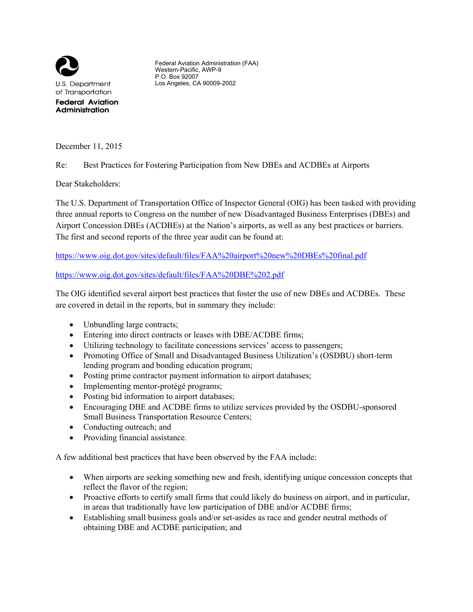

Federal Aviation Administration (FAA) Western-Pacific, AWP-9 P.O. Box 92007 Los Angeles, CA 90009-2002

December 11, 2015

Re: Best Practices for Fostering Participation from New DBEs and ACDBEs at Airports

Dear Stakeholders:

The U.S. Department of Transportation Office of Inspector General (OIG) has been tasked with providing three annual reports to Congress on the number of new Disadvantaged Business Enterprises (DBEs) and Airport Concession DBEs (ACDBEs) at the Nation's airports, as well as any best practices or barriers. The first and second reports of the three year audit can be found at:

<https://www.oig.dot.gov/sites/default/files/FAA%20airport%20new%20DBEs%20final.pdf>

## <https://www.oig.dot.gov/sites/default/files/FAA%20DBE%202.pdf>

The OIG identified several airport best practices that foster the use of new DBEs and ACDBEs. These are covered in detail in the reports, but in summary they include:

- Unbundling large contracts;
- Entering into direct contracts or leases with DBE/ACDBE firms;
- Utilizing technology to facilitate concessions services' access to passengers;
- Promoting Office of Small and Disadvantaged Business Utilization's (OSDBU) short-term lending program and bonding education program;
- Posting prime contractor payment information to airport databases;
- Implementing mentor-protégé programs;
- Posting bid information to airport databases;
- Encouraging DBE and ACDBE firms to utilize services provided by the OSDBU-sponsored Small Business Transportation Resource Centers;
- Conducting outreach; and
- Providing financial assistance.

A few additional best practices that have been observed by the FAA include:

- When airports are seeking something new and fresh, identifying unique concession concepts that reflect the flavor of the region;
- Proactive efforts to certify small firms that could likely do business on airport, and in particular, in areas that traditionally have low participation of DBE and/or ACDBE firms;
- Establishing small business goals and/or set-asides as race and gender neutral methods of obtaining DBE and ACDBE participation; and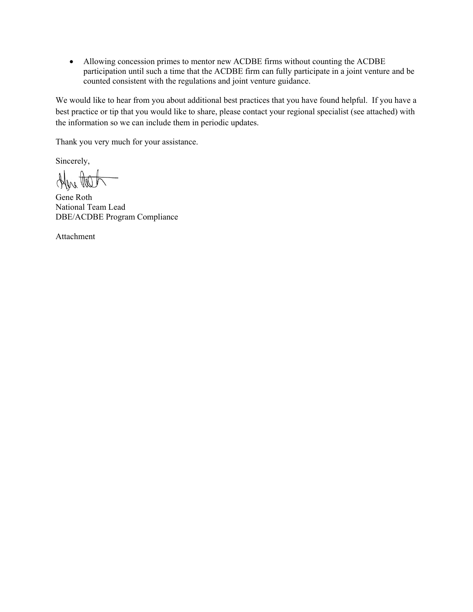Allowing concession primes to mentor new ACDBE firms without counting the ACDBE participation until such a time that the ACDBE firm can fully participate in a joint venture and be counted consistent with the regulations and joint venture guidance.

We would like to hear from you about additional best practices that you have found helpful. If you have a best practice or tip that you would like to share, please contact your regional specialist (see attached) with the information so we can include them in periodic updates.

Thank you very much for your assistance.

Sincerely,

Here Het

Gene Roth National Team Lead DBE/ACDBE Program Compliance

Attachment